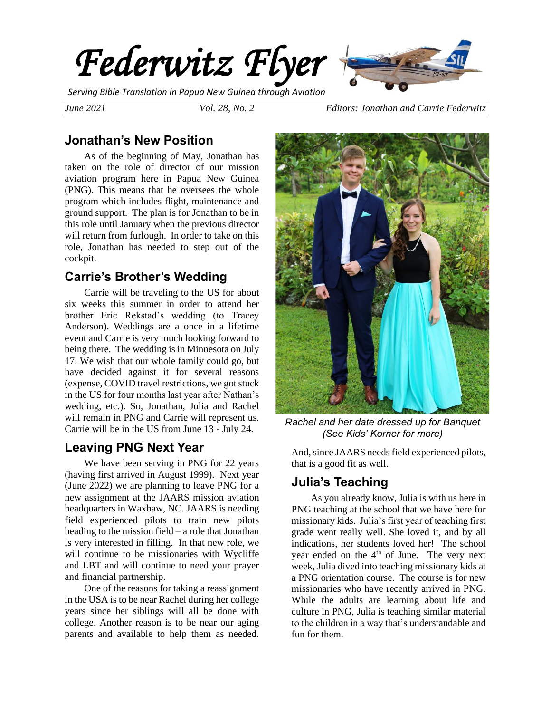

*Serving Bible Translation in Papua New Guinea through Aviation*

*June 2021 Vol. 28, No. 2 Editors: Jonathan and Carrie Federwitz*

## **Jonathan's New Position**

As of the beginning of May, Jonathan has taken on the role of director of our mission aviation program here in Papua New Guinea (PNG). This means that he oversees the whole program which includes flight, maintenance and ground support. The plan is for Jonathan to be in this role until January when the previous director will return from furlough. In order to take on this role, Jonathan has needed to step out of the cockpit.

## **Carrie's Brother's Wedding**

Carrie will be traveling to the US for about six weeks this summer in order to attend her brother Eric Rekstad's wedding (to Tracey Anderson). Weddings are a once in a lifetime event and Carrie is very much looking forward to being there. The wedding is in Minnesota on July 17. We wish that our whole family could go, but have decided against it for several reasons (expense, COVID travel restrictions, we got stuck in the US for four months last year after Nathan's wedding, etc.). So, Jonathan, Julia and Rachel will remain in PNG and Carrie will represent us. Carrie will be in the US from June 13 - July 24.

## **Leaving PNG Next Year**

We have been serving in PNG for 22 years (having first arrived in August 1999). Next year (June 2022) we are planning to leave PNG for a new assignment at the JAARS mission aviation headquarters in Waxhaw, NC. JAARS is needing field experienced pilots to train new pilots heading to the mission field – a role that Jonathan is very interested in filling. In that new role, we will continue to be missionaries with Wycliffe and LBT and will continue to need your prayer and financial partnership.

One of the reasons for taking a reassignment in the USA is to be near Rachel during her college years since her siblings will all be done with college. Another reason is to be near our aging parents and available to help them as needed.



*Rachel and her date dressed up for Banquet (See Kids' Korner for more)*

And, since JAARS needs field experienced pilots, that is a good fit as well.

# **Julia's Teaching**

As you already know, Julia is with us here in PNG teaching at the school that we have here for missionary kids. Julia's first year of teaching first grade went really well. She loved it, and by all indications, her students loved her! The school year ended on the 4<sup>th</sup> of June. The very next week, Julia dived into teaching missionary kids at a PNG orientation course. The course is for new missionaries who have recently arrived in PNG. While the adults are learning about life and culture in PNG, Julia is teaching similar material to the children in a way that's understandable and fun for them.